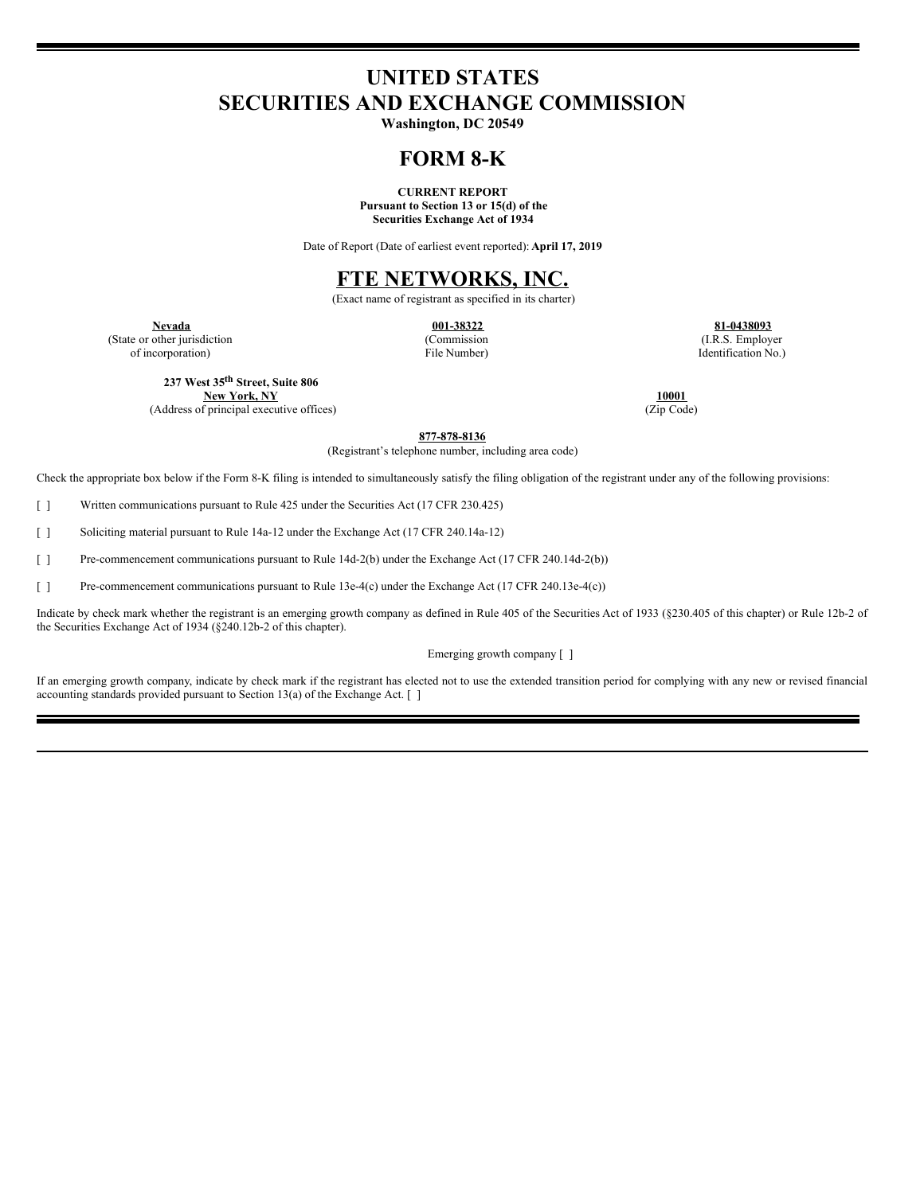# **UNITED STATES SECURITIES AND EXCHANGE COMMISSION**

**Washington, DC 20549**

## **FORM 8-K**

**CURRENT REPORT Pursuant to Section 13 or 15(d) of the Securities Exchange Act of 1934**

Date of Report (Date of earliest event reported): **April 17, 2019**

## **FTE NETWORKS, INC.**

(Exact name of registrant as specified in its charter)

(State or other jurisdiction of incorporation)

(Commission File Number)

**Nevada 001-38322 81-0438093** (I.R.S. Employer Identification No.)

**237 West 35 th Street, Suite 806**

**New York, NY 10001** (Address of principal executive offices)

**877-878-8136**

(Registrant's telephone number, including area code)

Check the appropriate box below if the Form 8-K filing is intended to simultaneously satisfy the filing obligation of the registrant under any of the following provisions:

[ ] Written communications pursuant to Rule 425 under the Securities Act (17 CFR 230.425)

[ ] Soliciting material pursuant to Rule 14a-12 under the Exchange Act (17 CFR 240.14a-12)

[ ] Pre-commencement communications pursuant to Rule 14d-2(b) under the Exchange Act (17 CFR 240.14d-2(b))

[ ] Pre-commencement communications pursuant to Rule 13e-4(c) under the Exchange Act (17 CFR 240.13e-4(c))

Indicate by check mark whether the registrant is an emerging growth company as defined in Rule 405 of the Securities Act of 1933 (§230.405 of this chapter) or Rule 12b-2 of the Securities Exchange Act of 1934 (§240.12b-2 of this chapter).

Emerging growth company [ ]

If an emerging growth company, indicate by check mark if the registrant has elected not to use the extended transition period for complying with any new or revised financial accounting standards provided pursuant to Section 13(a) of the Exchange Act. [ ]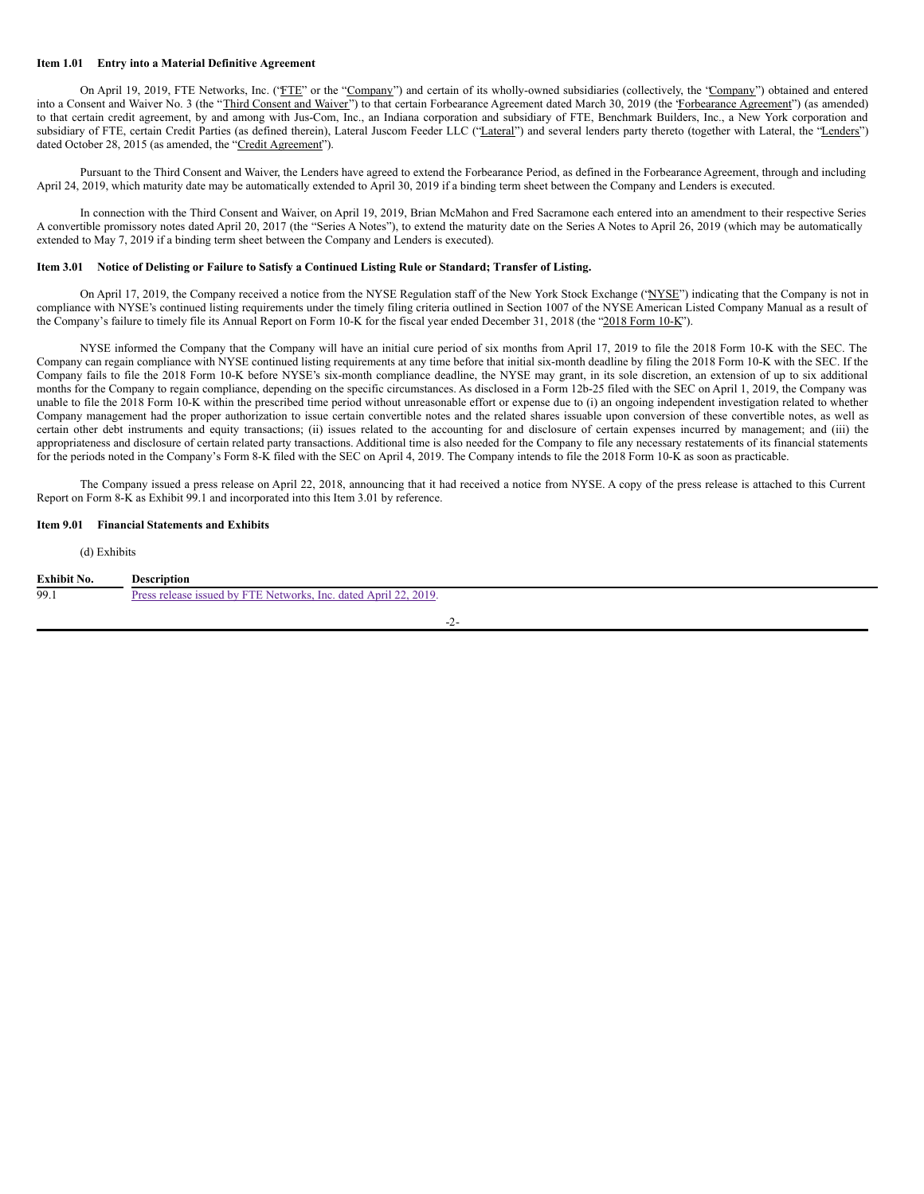## **Item 1.01 Entry into a Material Definitive Agreement**

On April 19, 2019, FTE Networks, Inc. ("FTE" or the "Company") and certain of its wholly-owned subsidiaries (collectively, the "Company") obtained and entered into a Consent and Waiver No. 3 (the "Third Consent and Waiver") to that certain Forbearance Agreement dated March 30, 2019 (the 'Forbearance Agreement'') (as amended) to that certain credit agreement, by and among with Jus-Com, Inc., an Indiana corporation and subsidiary of FTE, Benchmark Builders, Inc., a New York corporation and subsidiary of FTE, certain Credit Parties (as defined therein), Lateral Juscom Feeder LLC ("Lateral") and several lenders party thereto (together with Lateral, the "Lenders") dated October 28, 2015 (as amended, the "Credit Agreement").

Pursuant to the Third Consent and Waiver, the Lenders have agreed to extend the Forbearance Period, as defined in the Forbearance Agreement, through and including April 24, 2019, which maturity date may be automatically extended to April 30, 2019 if a binding term sheet between the Company and Lenders is executed.

In connection with the Third Consent and Waiver, on April 19, 2019, Brian McMahon and Fred Sacramone each entered into an amendment to their respective Series A convertible promissory notes dated April 20, 2017 (the "Series A Notes"), to extend the maturity date on the Series A Notes to April 26, 2019 (which may be automatically extended to May 7, 2019 if a binding term sheet between the Company and Lenders is executed).

## Item 3.01 Notice of Delisting or Failure to Satisfy a Continued Listing Rule or Standard; Transfer of Listing.

On April 17, 2019, the Company received a notice from the NYSE Regulation staff of the New York Stock Exchange ("NYSE") indicating that the Company is not in compliance with NYSE's continued listing requirements under the timely filing criteria outlined in Section 1007 of the NYSE American Listed Company Manual as a result of the Company's failure to timely file its Annual Report on Form 10-K for the fiscal year ended December 31, 2018 (the "2018 Form 10-K").

NYSE informed the Company that the Company will have an initial cure period of six months from April 17, 2019 to file the 2018 Form 10-K with the SEC. The Company can regain compliance with NYSE continued listing requirements at any time before that initial six-month deadline by filing the 2018 Form 10-K with the SEC. If the Company fails to file the 2018 Form 10-K before NYSE's six-month compliance deadline, the NYSE may grant, in its sole discretion, an extension of up to six additional months for the Company to regain compliance, depending on the specific circumstances. As disclosed in a Form 12b-25 filed with the SEC on April 1, 2019, the Company was unable to file the 2018 Form 10-K within the prescribed time period without unreasonable effort or expense due to (i) an ongoing independent investigation related to whether Company management had the proper authorization to issue certain convertible notes and the related shares issuable upon conversion of these convertible notes, as well as certain other debt instruments and equity transactions; (ii) issues related to the accounting for and disclosure of certain expenses incurred by management; and (iii) the appropriateness and disclosure of certain related party transactions. Additional time is also needed for the Company to file any necessary restatements of its financial statements for the periods noted in the Company's Form 8-K filed with the SEC on April 4, 2019. The Company intends to file the 2018 Form 10-K as soon as practicable.

The Company issued a press release on April 22, 2018, announcing that it had received a notice from NYSE. A copy of the press release is attached to this Current Report on Form 8-K as Exhibit 99.1 and incorporated into this Item 3.01 by reference.

## **Item 9.01 Financial Statements and Exhibits**

#### (d) Exhibits

| Exhibit No. | <b>Description</b>                                               |
|-------------|------------------------------------------------------------------|
| 99.1        | Press release issued by FTE Networks, Inc. dated April 22, 2019. |
|             |                                                                  |

#### -2-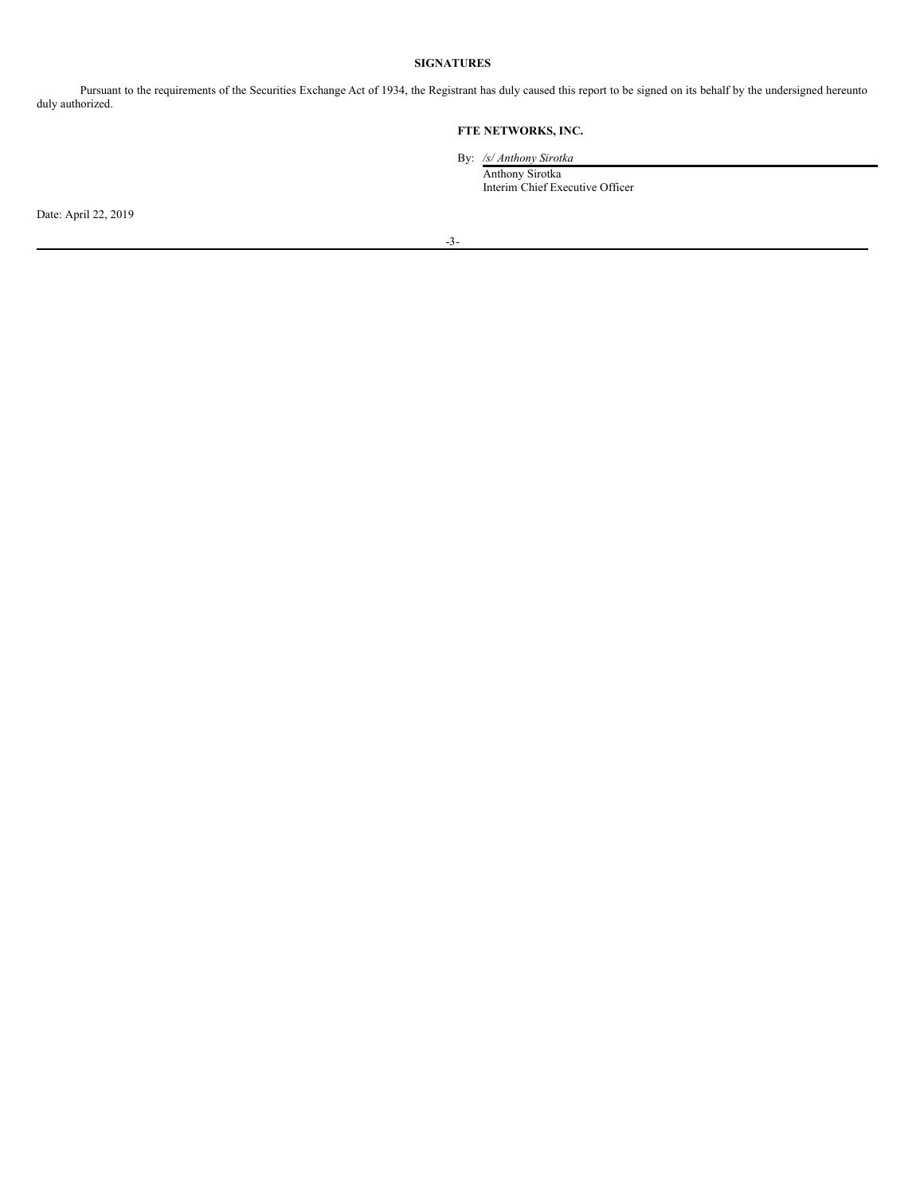## **SIGNATURES**

Pursuant to the requirements of the Securities Exchange Act of 1934, the Registrant has duly caused this report to be signed on its behalf by the undersigned hereunto duly authorized.

## **FTE NETWORKS, INC.**

By: */s/ Anthony Sirotka*

Anthony Sirotka Interim Chief Executive Officer

Date: April 22, 2019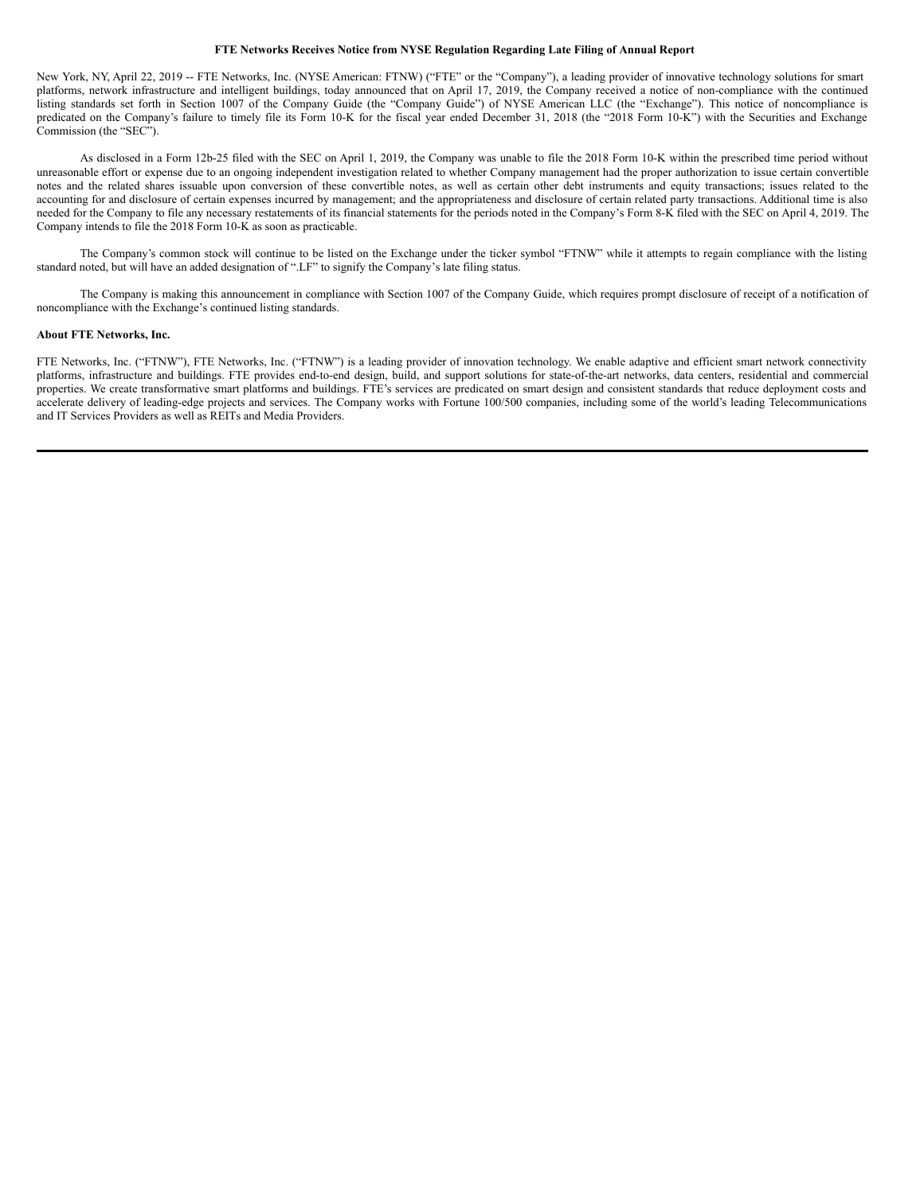## **FTE Networks Receives Notice from NYSE Regulation Regarding Late Filing of Annual Report**

New York, NY, April 22, 2019 -- FTE Networks, Inc. (NYSE American: FTNW) ("FTE" or the "Company"), a leading provider of innovative technology solutions for smart platforms, network infrastructure and intelligent buildings, today announced that on April 17, 2019, the Company received a notice of non-compliance with the continued listing standards set forth in Section 1007 of the Company Guide (the "Company Guide") of NYSE American LLC (the "Exchange"). This notice of noncompliance is predicated on the Company's failure to timely file its Form 10-K for the fiscal year ended December 31, 2018 (the "2018 Form 10-K") with the Securities and Exchange Commission (the "SEC").

As disclosed in a Form 12b-25 filed with the SEC on April 1, 2019, the Company was unable to file the 2018 Form 10-K within the prescribed time period without unreasonable effort or expense due to an ongoing independent investigation related to whether Company management had the proper authorization to issue certain convertible notes and the related shares issuable upon conversion of these convertible notes, as well as certain other debt instruments and equity transactions; issues related to the accounting for and disclosure of certain expenses incurred by management; and the appropriateness and disclosure of certain related party transactions. Additional time is also needed for the Company to file any necessary restatements of its financial statements for the periods noted in the Company's Form 8-K filed with the SEC on April 4, 2019. The Company intends to file the 2018 Form 10-K as soon as practicable.

The Company's common stock will continue to be listed on the Exchange under the ticker symbol "FTNW" while it attempts to regain compliance with the listing standard noted, but will have an added designation of ".LF" to signify the Company's late filing status.

The Company is making this announcement in compliance with Section 1007 of the Company Guide, which requires prompt disclosure of receipt of a notification of noncompliance with the Exchange's continued listing standards.

### **About FTE Networks, Inc.**

FTE Networks, Inc. ("FTNW"), FTE Networks, Inc. ("FTNW") is a leading provider of innovation technology. We enable adaptive and efficient smart network connectivity platforms, infrastructure and buildings. FTE provides end-to-end design, build, and support solutions for state-of-the-art networks, data centers, residential and commercial properties. We create transformative smart platforms and buildings. FTE's services are predicated on smart design and consistent standards that reduce deployment costs and accelerate delivery of leading-edge projects and services. The Company works with Fortune 100/500 companies, including some of the world's leading Telecommunications and IT Services Providers as well as REITs and Media Providers.